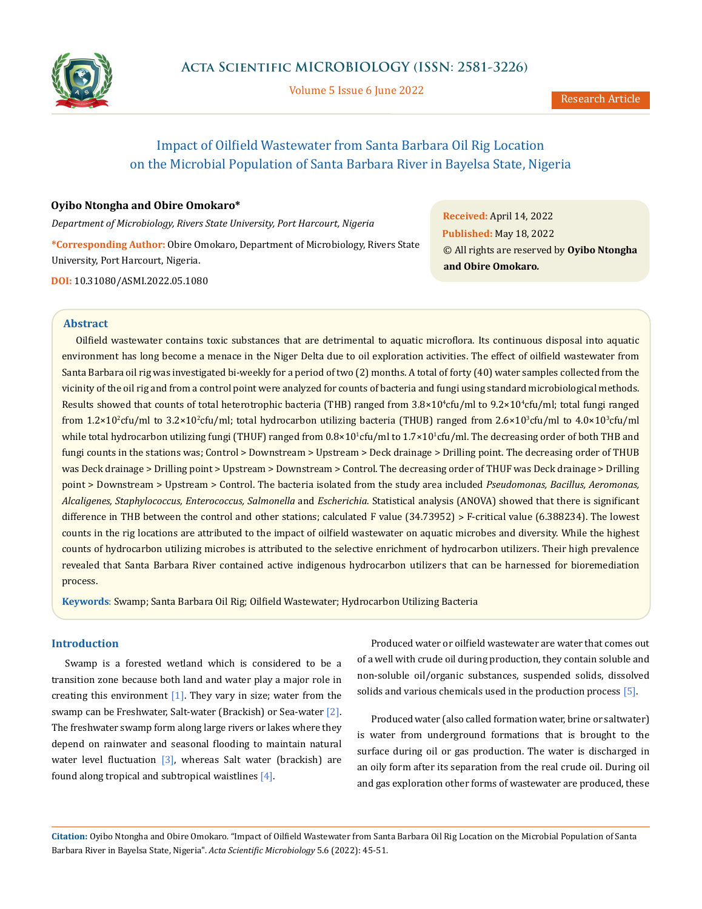

Volume 5 Issue 6 June 2022

# Impact of Oilfield Wastewater from Santa Barbara Oil Rig Location on the Microbial Population of Santa Barbara River in Bayelsa State, Nigeria

## **Oyibo Ntongha and Obire Omokaro\***

*Department of Microbiology, Rivers State University, Port Harcourt, Nigeria*

**\*Corresponding Author:** Obire Omokaro, Department of Microbiology, Rivers State University, Port Harcourt, Nigeria. **DOI:** [10.31080/ASMI.2022.05.10](http://actascientific.com/ASMI/pdf/ASMI-05-1080.pdf)80

**Received:** April 14, 2022 **Published:** May 18, 2022 © All rights are reserved by **Oyibo Ntongha and Obire Omokaro***.*

## **Abstract**

Oilfield wastewater contains toxic substances that are detrimental to aquatic microflora. Its continuous disposal into aquatic environment has long become a menace in the Niger Delta due to oil exploration activities. The effect of oilfield wastewater from Santa Barbara oil rig was investigated bi-weekly for a period of two (2) months. A total of forty (40) water samples collected from the vicinity of the oil rig and from a control point were analyzed for counts of bacteria and fungi using standard microbiological methods. Results showed that counts of total heterotrophic bacteria (THB) ranged from  $3.8\times10^4$ cfu/ml to  $9.2\times10^4$ cfu/ml; total fungi ranged from 1.2×10<sup>2</sup>cfu/ml to 3.2×10<sup>2</sup>cfu/ml; total hydrocarbon utilizing bacteria (THUB) ranged from 2.6×10<sup>3</sup>cfu/ml to 4.0×10<sup>3</sup>cfu/ml while total hydrocarbon utilizing fungi (THUF) ranged from  $0.8\times10^1$ cfu/ml to  $1.7\times10^1$ cfu/ml. The decreasing order of both THB and fungi counts in the stations was; Control > Downstream > Upstream > Deck drainage > Drilling point. The decreasing order of THUB was Deck drainage > Drilling point > Upstream > Downstream > Control. The decreasing order of THUF was Deck drainage > Drilling point > Downstream > Upstream > Control. The bacteria isolated from the study area included *Pseudomonas, Bacillus, Aeromonas, Alcaligenes, Staphylococcus, Enterococcus, Salmonella* and *Escherichia*. Statistical analysis (ANOVA) showed that there is significant difference in THB between the control and other stations; calculated F value (34.73952) > F-critical value (6.388234). The lowest counts in the rig locations are attributed to the impact of oilfield wastewater on aquatic microbes and diversity. While the highest counts of hydrocarbon utilizing microbes is attributed to the selective enrichment of hydrocarbon utilizers. Their high prevalence revealed that Santa Barbara River contained active indigenous hydrocarbon utilizers that can be harnessed for bioremediation process.

**Keywords**: Swamp; Santa Barbara Oil Rig; Oilfield Wastewater; Hydrocarbon Utilizing Bacteria

# **Introduction**

Swamp is a forested wetland which is considered to be a transition zone because both land and water play a major role in creating this environment  $[1]$ . They vary in size; water from the swamp can be Freshwater, Salt-water (Brackish) or Sea-water [2]. The freshwater swamp form along large rivers or lakes where they depend on rainwater and seasonal flooding to maintain natural water level fluctuation  $\begin{bmatrix} 3 \end{bmatrix}$ , whereas Salt water (brackish) are found along tropical and subtropical waistlines [4].

Produced water or oilfield wastewater are water that comes out of a well with crude oil during production, they contain soluble and non-soluble oil/organic substances, suspended solids, dissolved solids and various chemicals used in the production process [5].

Produced water (also called formation water, brine or saltwater) is water from underground formations that is brought to the surface during oil or gas production. The water is discharged in an oily form after its separation from the real crude oil. During oil and gas exploration other forms of wastewater are produced, these

**Citation:** Oyibo Ntongha and Obire Omokaro*.* "Impact of Oilfield Wastewater from Santa Barbara Oil Rig Location on the Microbial Population of Santa Barbara River in Bayelsa State, Nigeria". *Acta Scientific Microbiology* 5.6 (2022): 45-51.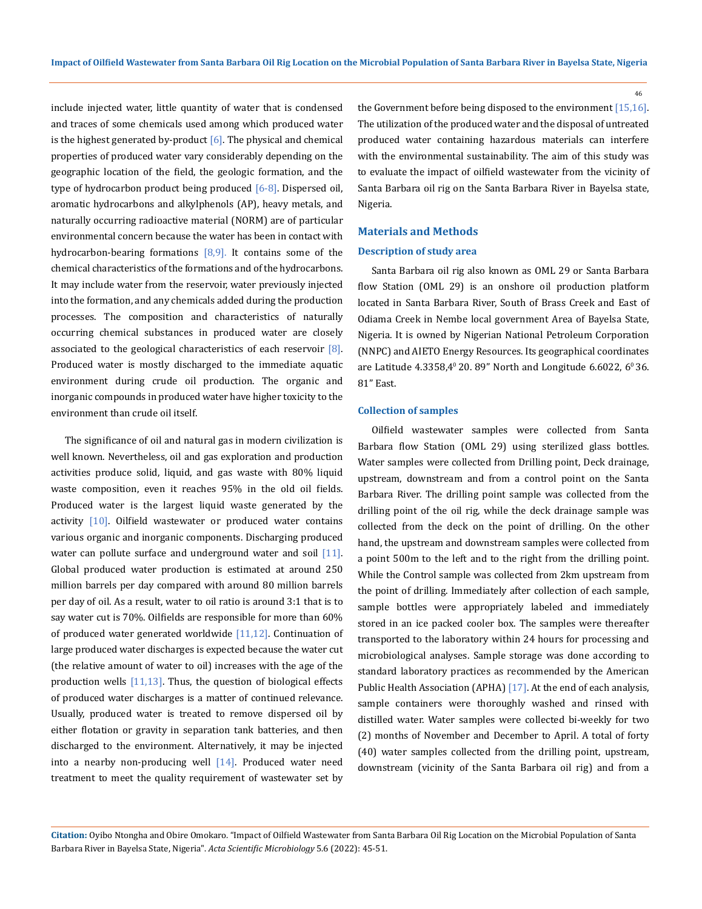include injected water, little quantity of water that is condensed and traces of some chemicals used among which produced water is the highest generated by-product  $[6]$ . The physical and chemical properties of produced water vary considerably depending on the geographic location of the field, the geologic formation, and the type of hydrocarbon product being produced [6-8]. Dispersed oil, aromatic hydrocarbons and alkylphenols (AP), heavy metals, and naturally occurring radioactive material (NORM) are of particular environmental concern because the water has been in contact with hydrocarbon-bearing formations  $[8,9]$ . It contains some of the chemical characteristics of the formations and of the hydrocarbons. It may include water from the reservoir, water previously injected into the formation, and any chemicals added during the production processes. The composition and characteristics of naturally occurring chemical substances in produced water are closely associated to the geological characteristics of each reservoir [8]. Produced water is mostly discharged to the immediate aquatic environment during crude oil production. The organic and inorganic compounds in produced water have higher toxicity to the environment than crude oil itself.

The significance of oil and natural gas in modern civilization is well known. Nevertheless, oil and gas exploration and production activities produce solid, liquid, and gas waste with 80% liquid waste composition, even it reaches 95% in the old oil fields. Produced water is the largest liquid waste generated by the activity [10]. Oilfield wastewater or produced water contains various organic and inorganic components. Discharging produced water can pollute surface and underground water and soil [11]. Global produced water production is estimated at around 250 million barrels per day compared with around 80 million barrels per day of oil. As a result, water to oil ratio is around 3:1 that is to say water cut is 70%. Oilfields are responsible for more than 60% of produced water generated worldwide  $[11,12]$ . Continuation of large produced water discharges is expected because the water cut (the relative amount of water to oil) increases with the age of the production wells [11,13]. Thus, the question of biological effects of produced water discharges is a matter of continued relevance. Usually, produced water is treated to remove dispersed oil by either flotation or gravity in separation tank batteries, and then discharged to the environment. Alternatively, it may be injected into a nearby non-producing well  $[14]$ . Produced water need treatment to meet the quality requirement of wastewater set by

the Government before being disposed to the environment [15,16]. The utilization of the produced water and the disposal of untreated produced water containing hazardous materials can interfere with the environmental sustainability. The aim of this study was to evaluate the impact of oilfield wastewater from the vicinity of Santa Barbara oil rig on the Santa Barbara River in Bayelsa state, Nigeria.

## **Materials and Methods**

#### **Description of study area**

Santa Barbara oil rig also known as OML 29 or Santa Barbara flow Station (OML 29) is an onshore oil production platform located in Santa Barbara River, South of Brass Creek and East of Odiama Creek in Nembe local government Area of Bayelsa State, Nigeria. It is owned by Nigerian National Petroleum Corporation (NNPC) and AIETO Energy Resources. Its geographical coordinates are Latitude  $4.3358,4^{\circ}$  20. 89" North and Longitude 6.6022, 6 $^{\circ}$  36. 81" East.

#### **Collection of samples**

Oilfield wastewater samples were collected from Santa Barbara flow Station (OML 29) using sterilized glass bottles. Water samples were collected from Drilling point, Deck drainage, upstream, downstream and from a control point on the Santa Barbara River. The drilling point sample was collected from the drilling point of the oil rig, while the deck drainage sample was collected from the deck on the point of drilling. On the other hand, the upstream and downstream samples were collected from a point 500m to the left and to the right from the drilling point. While the Control sample was collected from 2km upstream from the point of drilling. Immediately after collection of each sample, sample bottles were appropriately labeled and immediately stored in an ice packed cooler box. The samples were thereafter transported to the laboratory within 24 hours for processing and microbiological analyses. Sample storage was done according to standard laboratory practices as recommended by the American Public Health Association (APHA) [17]. At the end of each analysis, sample containers were thoroughly washed and rinsed with distilled water. Water samples were collected bi-weekly for two (2) months of November and December to April. A total of forty (40) water samples collected from the drilling point, upstream, downstream (vicinity of the Santa Barbara oil rig) and from a

**Citation:** Oyibo Ntongha and Obire Omokaro*.* "Impact of Oilfield Wastewater from Santa Barbara Oil Rig Location on the Microbial Population of Santa Barbara River in Bayelsa State, Nigeria". *Acta Scientific Microbiology* 5.6 (2022): 45-51.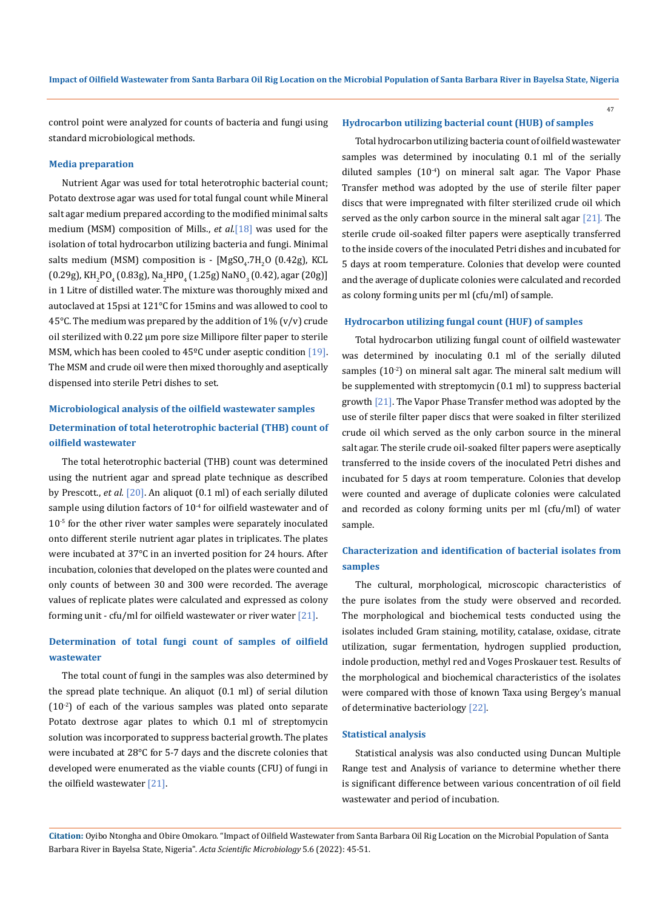control point were analyzed for counts of bacteria and fungi using standard microbiological methods.

#### **Media preparation**

Nutrient Agar was used for total heterotrophic bacterial count; Potato dextrose agar was used for total fungal count while Mineral salt agar medium prepared according to the modified minimal salts medium (MSM) composition of Mills., *et al.*[18] was used for the isolation of total hydrocarbon utilizing bacteria and fungi. Minimal salts medium (MSM) composition is - [MgSO<sub>4</sub>.7H<sub>2</sub>O (0.42g), KCL  $(0.29g)$ , KH $_{2}$ PO $_{4}$  (0.83g), Na $_{2}$ HPO $_{4}$  (1.25g) NaNO $_{3}$  (0.42), agar (20g)] in 1 Litre of distilled water. The mixture was thoroughly mixed and autoclaved at 15psi at 121°C for 15mins and was allowed to cool to 45°C. The medium was prepared by the addition of  $1\%$  (v/v) crude oil sterilized with 0.22 μm pore size Millipore filter paper to sterile MSM, which has been cooled to  $45^{\circ}$ C under aseptic condition [19]. The MSM and crude oil were then mixed thoroughly and aseptically dispensed into sterile Petri dishes to set.

# **Microbiological analysis of the oilfield wastewater samples Determination of total heterotrophic bacterial (THB) count of oilfield wastewater**

The total heterotrophic bacterial (THB) count was determined using the nutrient agar and spread plate technique as described by Prescott., *et al.* [20]. An aliquot (0.1 ml) of each serially diluted sample using dilution factors of  $10^{-4}$  for oilfield wastewater and of 10<sup>-5</sup> for the other river water samples were separately inoculated onto different sterile nutrient agar plates in triplicates. The plates were incubated at 37°C in an inverted position for 24 hours. After incubation, colonies that developed on the plates were counted and only counts of between 30 and 300 were recorded. The average values of replicate plates were calculated and expressed as colony forming unit - cfu/ml for oilfield wastewater or river water [21].

# **Determination of total fungi count of samples of oilfield wastewater**

The total count of fungi in the samples was also determined by the spread plate technique. An aliquot (0.1 ml) of serial dilution  $(10<sup>-2</sup>)$  of each of the various samples was plated onto separate Potato dextrose agar plates to which 0.1 ml of streptomycin solution was incorporated to suppress bacterial growth. The plates were incubated at 28°C for 5-7 days and the discrete colonies that developed were enumerated as the viable counts (CFU) of fungi in the oilfield wastewater [21].

### **Hydrocarbon utilizing bacterial count (HUB) of samples**

Total hydrocarbon utilizing bacteria count of oilfield wastewater samples was determined by inoculating 0.1 ml of the serially diluted samples  $(10^{-4})$  on mineral salt agar. The Vapor Phase Transfer method was adopted by the use of sterile filter paper discs that were impregnated with filter sterilized crude oil which served as the only carbon source in the mineral salt agar [21]. The sterile crude oil-soaked filter papers were aseptically transferred to the inside covers of the inoculated Petri dishes and incubated for 5 days at room temperature. Colonies that develop were counted and the average of duplicate colonies were calculated and recorded as colony forming units per ml (cfu/ml) of sample.

## **Hydrocarbon utilizing fungal count (HUF) of samples**

Total hydrocarbon utilizing fungal count of oilfield wastewater was determined by inoculating 0.1 ml of the serially diluted samples  $(10<sup>-2</sup>)$  on mineral salt agar. The mineral salt medium will be supplemented with streptomycin (0.1 ml) to suppress bacterial growth [21]. The Vapor Phase Transfer method was adopted by the use of sterile filter paper discs that were soaked in filter sterilized crude oil which served as the only carbon source in the mineral salt agar. The sterile crude oil-soaked filter papers were aseptically transferred to the inside covers of the inoculated Petri dishes and incubated for 5 days at room temperature. Colonies that develop were counted and average of duplicate colonies were calculated and recorded as colony forming units per ml (cfu/ml) of water sample.

# **Characterization and identification of bacterial isolates from samples**

The cultural, morphological, microscopic characteristics of the pure isolates from the study were observed and recorded. The morphological and biochemical tests conducted using the isolates included Gram staining, motility, catalase, oxidase, citrate utilization, sugar fermentation, hydrogen supplied production, indole production, methyl red and Voges Proskauer test. Results of the morphological and biochemical characteristics of the isolates were compared with those of known Taxa using Bergey's manual of determinative bacteriology [22].

#### **Statistical analysis**

Statistical analysis was also conducted using Duncan Multiple Range test and Analysis of variance to determine whether there is significant difference between various concentration of oil field wastewater and period of incubation.

**Citation:** Oyibo Ntongha and Obire Omokaro*.* "Impact of Oilfield Wastewater from Santa Barbara Oil Rig Location on the Microbial Population of Santa Barbara River in Bayelsa State, Nigeria". *Acta Scientific Microbiology* 5.6 (2022): 45-51.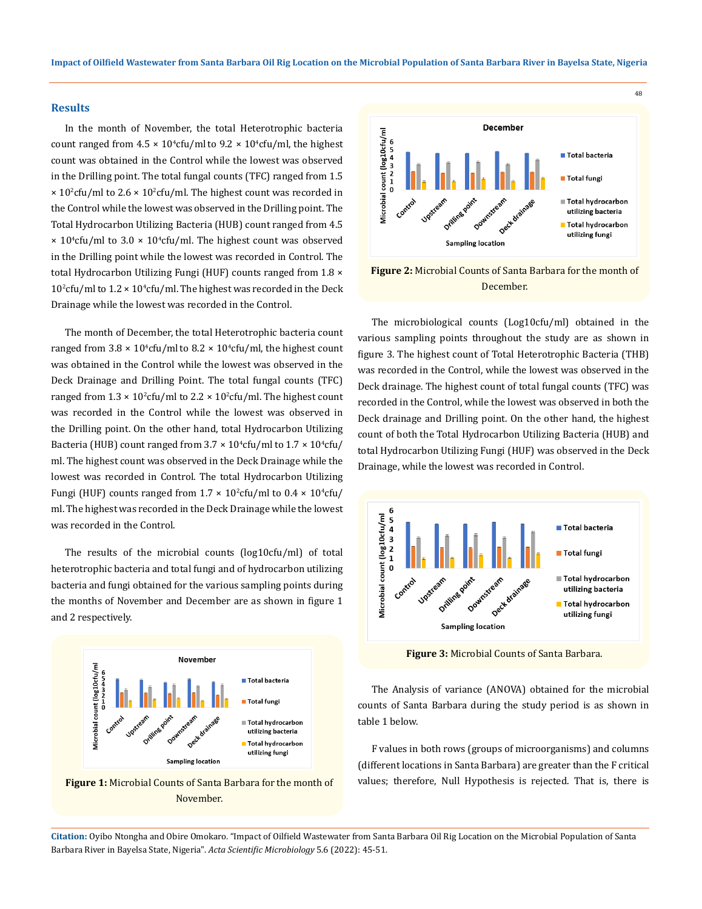### **Results**

In the month of November, the total Heterotrophic bacteria count ranged from  $4.5 \times 10^4$ cfu/ml to  $9.2 \times 10^4$ cfu/ml, the highest count was obtained in the Control while the lowest was observed in the Drilling point. The total fungal counts (TFC) ranged from 1.5  $\times$  10<sup>2</sup>cfu/ml to 2.6  $\times$  10<sup>2</sup>cfu/ml. The highest count was recorded in the Control while the lowest was observed in the Drilling point. The Total Hydrocarbon Utilizing Bacteria (HUB) count ranged from 4.5  $\times$  10<sup>4</sup>cfu/ml to 3.0  $\times$  10<sup>4</sup>cfu/ml. The highest count was observed in the Drilling point while the lowest was recorded in Control. The total Hydrocarbon Utilizing Fungi (HUF) counts ranged from 1.8  $\times$  $10<sup>2</sup>$ cfu/ml to  $1.2 \times 10<sup>4</sup>$ cfu/ml. The highest was recorded in the Deck Drainage while the lowest was recorded in the Control.

The month of December, the total Heterotrophic bacteria count ranged from  $3.8 \times 10^4$ cfu/ml to  $8.2 \times 10^4$ cfu/ml, the highest count was obtained in the Control while the lowest was observed in the Deck Drainage and Drilling Point. The total fungal counts (TFC) ranged from  $1.3 \times 10^2$ cfu/ml to  $2.2 \times 10^2$ cfu/ml. The highest count was recorded in the Control while the lowest was observed in the Drilling point. On the other hand, total Hydrocarbon Utilizing Bacteria (HUB) count ranged from  $3.7 \times 10^4$ cfu/ml to  $1.7 \times 10^4$ cfu/ ml. The highest count was observed in the Deck Drainage while the lowest was recorded in Control. The total Hydrocarbon Utilizing Fungi (HUF) counts ranged from  $1.7 \times 10^{2}$ cfu/ml to  $0.4 \times 10^{4}$ cfu/ ml. The highest was recorded in the Deck Drainage while the lowest was recorded in the Control.

The results of the microbial counts (log10cfu/ml) of total heterotrophic bacteria and total fungi and of hydrocarbon utilizing bacteria and fungi obtained for the various sampling points during the months of November and December are as shown in figure 1 and 2 respectively.







#### December.

The microbiological counts (Log10cfu/ml) obtained in the various sampling points throughout the study are as shown in figure 3. The highest count of Total Heterotrophic Bacteria (THB) was recorded in the Control, while the lowest was observed in the Deck drainage. The highest count of total fungal counts (TFC) was recorded in the Control, while the lowest was observed in both the Deck drainage and Drilling point. On the other hand, the highest count of both the Total Hydrocarbon Utilizing Bacteria (HUB) and total Hydrocarbon Utilizing Fungi (HUF) was observed in the Deck Drainage, while the lowest was recorded in Control.



**Figure 3:** Microbial Counts of Santa Barbara.

The Analysis of variance (ANOVA) obtained for the microbial counts of Santa Barbara during the study period is as shown in table 1 below.

F values in both rows (groups of microorganisms) and columns (different locations in Santa Barbara) are greater than the F critical values; therefore, Null Hypothesis is rejected. That is, there is

**Citation:** Oyibo Ntongha and Obire Omokaro*.* "Impact of Oilfield Wastewater from Santa Barbara Oil Rig Location on the Microbial Population of Santa Barbara River in Bayelsa State, Nigeria". *Acta Scientific Microbiology* 5.6 (2022): 45-51.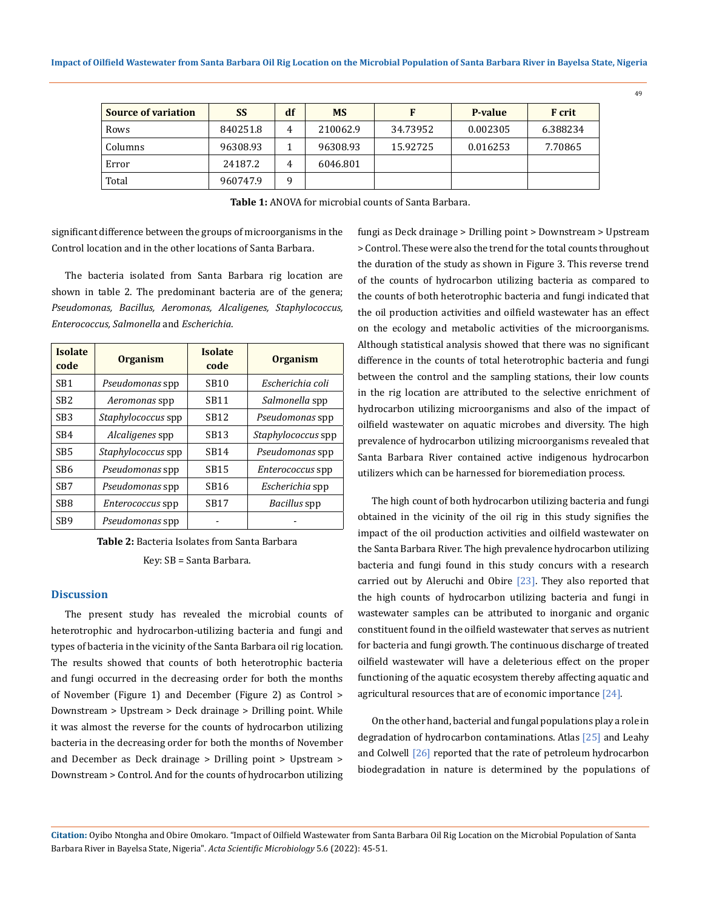| <b>Source of variation</b> | SS       | df | <b>MS</b> |          | P-value  | <b>F</b> crit |
|----------------------------|----------|----|-----------|----------|----------|---------------|
| Rows                       | 840251.8 | 4  | 210062.9  | 34.73952 | 0.002305 | 6.388234      |
| Columns                    | 96308.93 |    | 96308.93  | 15.92725 | 0.016253 | 7.70865       |
| Error                      | 24187.2  | 4  | 6046.801  |          |          |               |
| Total                      | 960747.9 | 9  |           |          |          |               |

**Table 1:** ANOVA for microbial counts of Santa Barbara.

significant difference between the groups of microorganisms in the Control location and in the other locations of Santa Barbara.

The bacteria isolated from Santa Barbara rig location are shown in table 2. The predominant bacteria are of the genera; *Pseudomonas, Bacillus, Aeromonas, Alcaligenes, Staphylococcus, Enterococcus, Salmonella* and *Escherichia*.

| <b>Isolate</b><br>code | <b>Organism</b>           | <b>Isolate</b><br>code | <b>Organism</b>         |  |
|------------------------|---------------------------|------------------------|-------------------------|--|
| SB <sub>1</sub>        | Pseudomonas spp           | <b>SB10</b>            | Escherichia coli        |  |
| SB <sub>2</sub>        | Aeromonas spp             | SB11                   | Salmonella spp          |  |
| SB <sub>3</sub>        | Staphylococcus spp        | SB <sub>12</sub>       | Pseudomonas spp         |  |
| SB <sub>4</sub>        | Alcaligenes spp           | SB13                   | Staphylococcus spp      |  |
| SB <sub>5</sub>        | <i>Staphylococcus</i> spp | <b>SB14</b>            | Pseudomonas spp         |  |
| SB6                    | Pseudomonas spp           | SB15                   | <i>Enterococcus</i> spp |  |
| SB7                    | Pseudomonas spp           | SB <sub>16</sub>       | Escherichia spp         |  |
| SB8                    | <i>Enterococcus</i> spp   | <b>SB17</b>            | Bacillus spp            |  |
| SB <sub>9</sub>        | Pseudomonas spp           |                        |                         |  |

**Table 2:** Bacteria Isolates from Santa Barbara

Key: SB = Santa Barbara.

## **Discussion**

The present study has revealed the microbial counts of heterotrophic and hydrocarbon-utilizing bacteria and fungi and types of bacteria in the vicinity of the Santa Barbara oil rig location. The results showed that counts of both heterotrophic bacteria and fungi occurred in the decreasing order for both the months of November (Figure 1) and December (Figure 2) as Control > Downstream > Upstream > Deck drainage > Drilling point. While it was almost the reverse for the counts of hydrocarbon utilizing bacteria in the decreasing order for both the months of November and December as Deck drainage > Drilling point > Upstream > Downstream > Control. And for the counts of hydrocarbon utilizing fungi as Deck drainage > Drilling point > Downstream > Upstream > Control. These were also the trend for the total counts throughout the duration of the study as shown in Figure 3. This reverse trend of the counts of hydrocarbon utilizing bacteria as compared to the counts of both heterotrophic bacteria and fungi indicated that the oil production activities and oilfield wastewater has an effect on the ecology and metabolic activities of the microorganisms. Although statistical analysis showed that there was no significant difference in the counts of total heterotrophic bacteria and fungi between the control and the sampling stations, their low counts in the rig location are attributed to the selective enrichment of hydrocarbon utilizing microorganisms and also of the impact of oilfield wastewater on aquatic microbes and diversity. The high prevalence of hydrocarbon utilizing microorganisms revealed that Santa Barbara River contained active indigenous hydrocarbon utilizers which can be harnessed for bioremediation process.

The high count of both hydrocarbon utilizing bacteria and fungi obtained in the vicinity of the oil rig in this study signifies the impact of the oil production activities and oilfield wastewater on the Santa Barbara River. The high prevalence hydrocarbon utilizing bacteria and fungi found in this study concurs with a research carried out by Aleruchi and Obire [23]. They also reported that the high counts of hydrocarbon utilizing bacteria and fungi in wastewater samples can be attributed to inorganic and organic constituent found in the oilfield wastewater that serves as nutrient for bacteria and fungi growth. The continuous discharge of treated oilfield wastewater will have a deleterious effect on the proper functioning of the aquatic ecosystem thereby affecting aquatic and agricultural resources that are of economic importance [24].

On the other hand, bacterial and fungal populations play a role in degradation of hydrocarbon contaminations. Atlas [25] and Leahy and Colwell [26] reported that the rate of petroleum hydrocarbon biodegradation in nature is determined by the populations of

**Citation:** Oyibo Ntongha and Obire Omokaro*.* "Impact of Oilfield Wastewater from Santa Barbara Oil Rig Location on the Microbial Population of Santa Barbara River in Bayelsa State, Nigeria". *Acta Scientific Microbiology* 5.6 (2022): 45-51.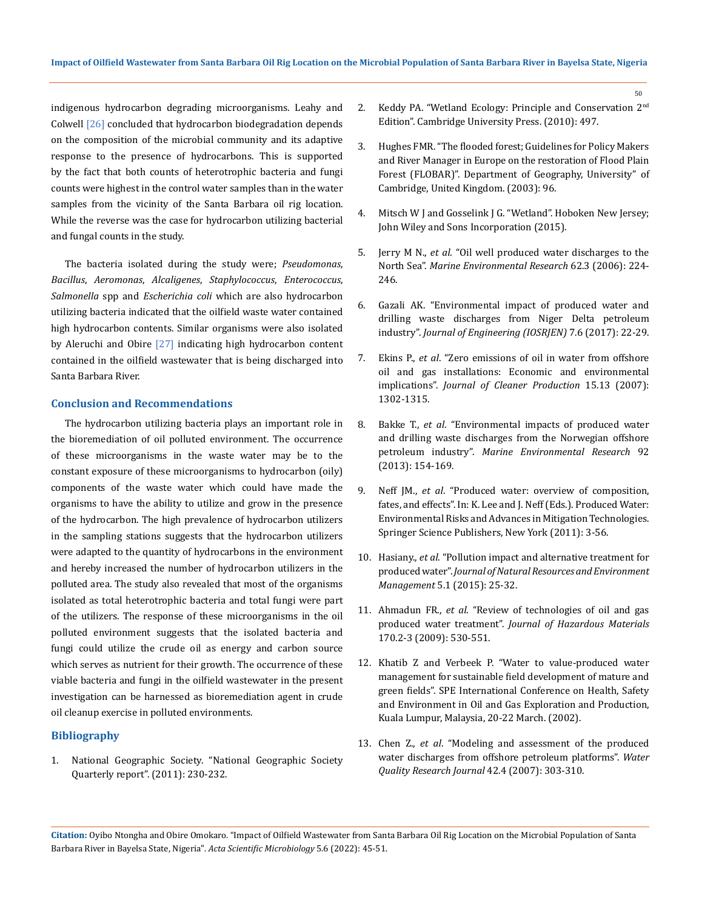indigenous hydrocarbon degrading microorganisms. Leahy and Colwell [26] concluded that hydrocarbon biodegradation depends on the composition of the microbial community and its adaptive response to the presence of hydrocarbons. This is supported by the fact that both counts of heterotrophic bacteria and fungi counts were highest in the control water samples than in the water samples from the vicinity of the Santa Barbara oil rig location. While the reverse was the case for hydrocarbon utilizing bacterial and fungal counts in the study.

The bacteria isolated during the study were; *Pseudomonas*, *Bacillus*, *Aeromonas*, *Alcaligenes*, *Staphylococcus*, *Enterococcus*, *Salmonella* spp and *Escherichia coli* which are also hydrocarbon utilizing bacteria indicated that the oilfield waste water contained high hydrocarbon contents. Similar organisms were also isolated by Aleruchi and Obire [27] indicating high hydrocarbon content contained in the oilfield wastewater that is being discharged into Santa Barbara River.

## **Conclusion and Recommendations**

The hydrocarbon utilizing bacteria plays an important role in the bioremediation of oil polluted environment. The occurrence of these microorganisms in the waste water may be to the constant exposure of these microorganisms to hydrocarbon (oily) components of the waste water which could have made the organisms to have the ability to utilize and grow in the presence of the hydrocarbon. The high prevalence of hydrocarbon utilizers in the sampling stations suggests that the hydrocarbon utilizers were adapted to the quantity of hydrocarbons in the environment and hereby increased the number of hydrocarbon utilizers in the polluted area. The study also revealed that most of the organisms isolated as total heterotrophic bacteria and total fungi were part of the utilizers. The response of these microorganisms in the oil polluted environment suggests that the isolated bacteria and fungi could utilize the crude oil as energy and carbon source which serves as nutrient for their growth. The occurrence of these viable bacteria and fungi in the oilfield wastewater in the present investigation can be harnessed as bioremediation agent in crude oil cleanup exercise in polluted environments.

## **Bibliography**

1. National Geographic Society. "National Geographic Society Quarterly report". (2011): 230-232.

- 2. Keddy PA. "Wetland Ecology: Principle and Conservation 2<sup>nd</sup> Edition". Cambridge University Press. (2010): 497.
- 3. Hughes FMR. "The flooded forest; Guidelines for Policy Makers and River Manager in Europe on the restoration of Flood Plain Forest (FLOBAR)". Department of Geography, University" of Cambridge, United Kingdom. (2003): 96.
- 4. Mitsch W J and Gosselink J G. "Wetland". Hoboken New Jersey; John Wiley and Sons Incorporation (2015).
- 5. Jerry M N., *et al*[. "Oil well produced water discharges to the](https://pubmed.ncbi.nlm.nih.gov/16713621/)  North Sea". *[Marine Environmental Research](https://pubmed.ncbi.nlm.nih.gov/16713621/)* 62.3 (2006): 224- [246.](https://pubmed.ncbi.nlm.nih.gov/16713621/)
- 6. [Gazali AK. "Environmental impact of produced water and](http://www.iosrjen.org/Papers/vol7_issue6/Version-1/D0706012229.pdf)  [drilling waste discharges from Niger Delta petroleum](http://www.iosrjen.org/Papers/vol7_issue6/Version-1/D0706012229.pdf)  industry". *[Journal of Engineering \(IOSRJEN\)](http://www.iosrjen.org/Papers/vol7_issue6/Version-1/D0706012229.pdf)* 7.6 (2017): 22-29.
- 7. Ekins P., *et al*[. "Zero emissions of oil in water from offshore](https://www.researchgate.net/publication/223892790_Zero_emissions_of_oil_in_water_from_offshore_oil_and_gas_installations_economic_and_environmental_implications)  [oil and gas installations: Economic and environmental](https://www.researchgate.net/publication/223892790_Zero_emissions_of_oil_in_water_from_offshore_oil_and_gas_installations_economic_and_environmental_implications)  implications". *[Journal of Cleaner Production](https://www.researchgate.net/publication/223892790_Zero_emissions_of_oil_in_water_from_offshore_oil_and_gas_installations_economic_and_environmental_implications)* 15.13 (2007): [1302-1315.](https://www.researchgate.net/publication/223892790_Zero_emissions_of_oil_in_water_from_offshore_oil_and_gas_installations_economic_and_environmental_implications)
- 8. Bakke T., *et al*[. "Environmental impacts of produced water](https://www.sciencedirect.com/science/article/pii/S0141113613001621)  [and drilling waste discharges from the Norwegian offshore](https://www.sciencedirect.com/science/article/pii/S0141113613001621)  petroleum industry". *[Marine Environmental Research](https://www.sciencedirect.com/science/article/pii/S0141113613001621)* 92 [\(2013\): 154-169.](https://www.sciencedirect.com/science/article/pii/S0141113613001621)
- 9. Neff JM., *et al*[. "Produced water: overview of composition,](https://id.scribd.com/document/267721195/Produced-Water-Overview-of-Composition-Fates-and-Effects)  [fates, and effects". In: K. Lee and J. Neff \(Eds.\). Produced Water:](https://id.scribd.com/document/267721195/Produced-Water-Overview-of-Composition-Fates-and-Effects)  [Environmental Risks and Advances in Mitigation Technologies.](https://id.scribd.com/document/267721195/Produced-Water-Overview-of-Composition-Fates-and-Effects)  [Springer Science Publishers, New York \(2011\): 3-56.](https://id.scribd.com/document/267721195/Produced-Water-Overview-of-Composition-Fates-and-Effects)
- 10. Hasiany., *et al*[. "Pollution impact and alternative treatment for](https://www.e3s-conferences.org/articles/e3sconf/pdf/2018/06/e3sconf_icenis2018_03004.pdf)  produced water". *[Journal of Natural Resources and Environment](https://www.e3s-conferences.org/articles/e3sconf/pdf/2018/06/e3sconf_icenis2018_03004.pdf)  Management* [5.1 \(2015\): 25-32.](https://www.e3s-conferences.org/articles/e3sconf/pdf/2018/06/e3sconf_icenis2018_03004.pdf)
- 11. Ahmadun FR., *et al*[. "Review of technologies of oil and gas](https://www.sciencedirect.com/science/article/abs/pii/S030438940900778X)  produced water treatment". *[Journal of Hazardous Materials](https://www.sciencedirect.com/science/article/abs/pii/S030438940900778X)* [170.2-3 \(2009\): 530-551.](https://www.sciencedirect.com/science/article/abs/pii/S030438940900778X)
- 12. Khatib Z and Verbeek P. "Water to value-produced water management for sustainable field development of mature and green fields". SPE International Conference on Health, Safety and Environment in Oil and Gas Exploration and Production, Kuala Lumpur, Malaysia, 20-22 March. (2002).
- 13. Chen Z., *et al*[. "Modeling and assessment of the produced](https://www.researchgate.net/publication/260779769_Modeling_and_Assessment_of_the_Produced_Water_Discharges_from_Offshore_Petroleum_Platforms)  [water discharges from offshore petroleum platforms".](https://www.researchgate.net/publication/260779769_Modeling_and_Assessment_of_the_Produced_Water_Discharges_from_Offshore_Petroleum_Platforms) *Water [Quality Research Journal](https://www.researchgate.net/publication/260779769_Modeling_and_Assessment_of_the_Produced_Water_Discharges_from_Offshore_Petroleum_Platforms)* 42.4 (2007): 303-310.

**Citation:** Oyibo Ntongha and Obire Omokaro*.* "Impact of Oilfield Wastewater from Santa Barbara Oil Rig Location on the Microbial Population of Santa Barbara River in Bayelsa State, Nigeria". *Acta Scientific Microbiology* 5.6 (2022): 45-51.